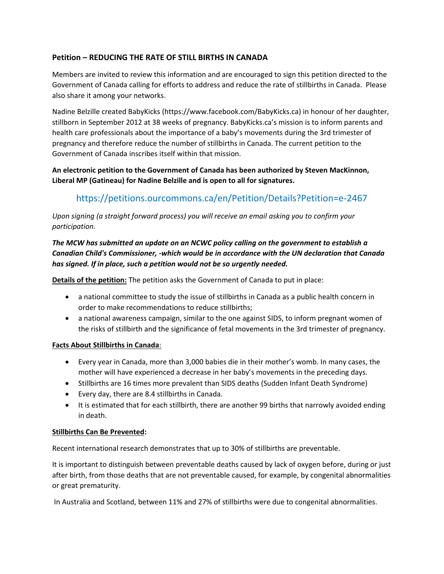## **Petition – REDUCING THE RATE OF STILL BIRTHS IN CANADA**

Members are invited to review this information and are encouraged to sign this petition directed to the Government of Canada calling for efforts to address and reduce the rate of stillbirths in Canada. Please also share it among your networks.

Nadine Belzille created BabyKicks (https://www.facebook.com/BabyKicks.ca) in honour of her daughter, stillborn in September 2012 at 38 weeks of pregnancy. BabyKicks.ca's mission is to inform parents and health care professionals about the importance of a baby's movements during the 3rd trimester of pregnancy and therefore reduce the number of stillbirths in Canada. The current petition to the Government of Canada inscribes itself within that mission.

**An electronic petition to the Government of Canada has been authorized by Steven MacKinnon, Liberal MP (Gatineau) for Nadine Belzille and is open to all for signatures.**

# https://petitions.ourcommons.ca/en/Petition/Details?Petition=e-2467

*Upon signing (a straight forward process) you will receive an email asking you to confirm your participation.*

## *The MCW has submitted an update on an NCWC policy calling on the government to establish a Canadian Child's Commissioner, -which would be in accordance with the UN declaration that Canada has signed. If in place, such a petition would not be so urgently needed.*

**Details of the petition:** The petition asks the Government of Canada to put in place:

- a national committee to study the issue of stillbirths in Canada as a public health concern in order to make recommendations to reduce stillbirths;
- a national awareness campaign, similar to the one against SIDS, to inform pregnant women of the risks of stillbirth and the significance of fetal movements in the 3rd trimester of pregnancy.

### **Facts About Stillbirths in Canada**:

- Every year in Canada, more than 3,000 babies die in their mother's womb. In many cases, the mother will have experienced a decrease in her baby's movements in the preceding days.
- Stillbirths are 16 times more prevalent than SIDS deaths (Sudden Infant Death Syndrome)
- Every day, there are 8.4 stillbirths in Canada.
- It is estimated that for each stillbirth, there are another 99 births that narrowly avoided ending in death.

### **Stillbirths Can Be Prevented:**

Recent international research demonstrates that up to 30% of stillbirths are preventable.

It is important to distinguish between preventable deaths caused by lack of oxygen before, during or just after birth, from those deaths that are not preventable caused, for example, by congenital abnormalities or great prematurity.

In Australia and Scotland, between 11% and 27% of stillbirths were due to congenital abnormalities.